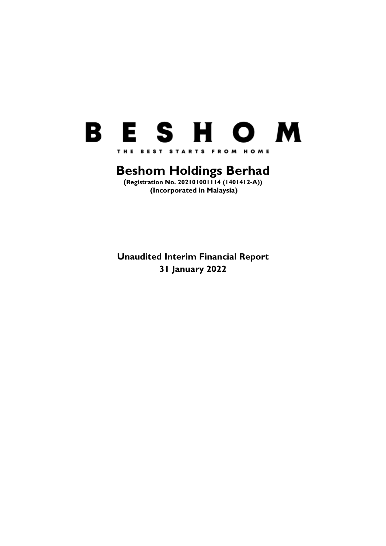

# **Beshom Holdings Berhad**

**(Registration No. 202101001114 (1401412-A)) (Incorporated in Malaysia)**

**Unaudited Interim Financial Report 31 January 2022**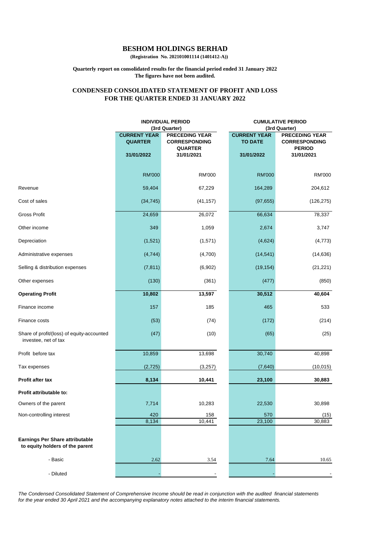**(Registration No. 202101001114 (1401412-A))**

#### **Quarterly report on consolidated results for the financial period ended 31 January 2022 The figures have not been audited.**

#### **FOR THE QUARTER ENDED 31 JANUARY 2022 CONDENSED CONSOLIDATED STATEMENT OF PROFIT AND LOSS**

|                                                                           |                                       | <b>INDIVIDUAL PERIOD</b>                      | <b>CUMULATIVE PERIOD</b>              |                                               |  |  |
|---------------------------------------------------------------------------|---------------------------------------|-----------------------------------------------|---------------------------------------|-----------------------------------------------|--|--|
|                                                                           |                                       | (3rd Quarter)                                 |                                       | (3rd Quarter)                                 |  |  |
|                                                                           | <b>CURRENT YEAR</b><br><b>QUARTER</b> | <b>PRECEDING YEAR</b><br><b>CORRESPONDING</b> | <b>CURRENT YEAR</b><br><b>TO DATE</b> | <b>PRECEDING YEAR</b><br><b>CORRESPONDING</b> |  |  |
|                                                                           | 31/01/2022                            | <b>QUARTER</b><br>31/01/2021                  | 31/01/2022                            | <b>PERIOD</b><br>31/01/2021                   |  |  |
|                                                                           | <b>RM'000</b>                         | <b>RM'000</b>                                 | <b>RM'000</b>                         | <b>RM'000</b>                                 |  |  |
| Revenue                                                                   | 59,404                                | 67,229                                        | 164,289                               | 204,612                                       |  |  |
| Cost of sales                                                             | (34, 745)                             | (41, 157)                                     | (97, 655)                             | (126, 275)                                    |  |  |
| <b>Gross Profit</b>                                                       | 24,659                                | 26,072                                        | 66,634                                | 78,337                                        |  |  |
| Other income                                                              | 349                                   | 1,059                                         | 2,674                                 | 3,747                                         |  |  |
| Depreciation                                                              | (1,521)                               | (1,571)                                       | (4,624)                               | (4, 773)                                      |  |  |
| Administrative expenses                                                   | (4, 744)                              | (4,700)                                       | (14, 541)                             | (14, 636)                                     |  |  |
| Selling & distribution expenses                                           | (7, 811)                              | (6,902)                                       | (19, 154)                             | (21, 221)                                     |  |  |
| Other expenses                                                            | (130)                                 | (361)                                         | (477)                                 | (850)                                         |  |  |
| <b>Operating Profit</b>                                                   | 10,802                                | 13,597                                        | 30,512                                | 40,604                                        |  |  |
| Finance income                                                            | 157                                   | 185                                           | 465                                   | 533                                           |  |  |
| Finance costs                                                             | (53)                                  | (74)                                          | (172)                                 | (214)                                         |  |  |
| Share of profit/(loss) of equity-accounted<br>investee, net of tax        | (47)                                  | (10)                                          | (65)                                  | (25)                                          |  |  |
| Profit before tax                                                         | 10,859                                | 13,698                                        | 30,740                                | 40,898                                        |  |  |
| Tax expenses                                                              | (2, 725)                              | (3,257)                                       | (7,640)                               | (10, 015)                                     |  |  |
| Profit after tax                                                          | 8,134                                 | 10,441                                        | 23,100                                | 30,883                                        |  |  |
| Profit attributable to:                                                   |                                       |                                               |                                       |                                               |  |  |
| Owners of the parent                                                      | 7,714                                 | 10,283                                        | 22,530                                | 30,898                                        |  |  |
| Non-controlling interest                                                  | 420<br>8,134                          | 158<br>10,441                                 | 570<br>23,100                         | (15)<br>30,883                                |  |  |
| <b>Earnings Per Share attributable</b><br>to equity holders of the parent |                                       |                                               |                                       |                                               |  |  |
| - Basic                                                                   | 2.62                                  | 3.54                                          | 7.64                                  | 10.65                                         |  |  |
| - Diluted                                                                 |                                       |                                               |                                       |                                               |  |  |

*The Condensed Consolidated Statement of Comprehensive Income should be read in conjunction with the audited financial statements for the year ended 30 April 2021 and the accompanying explanatory notes attached to the interim financial statements.*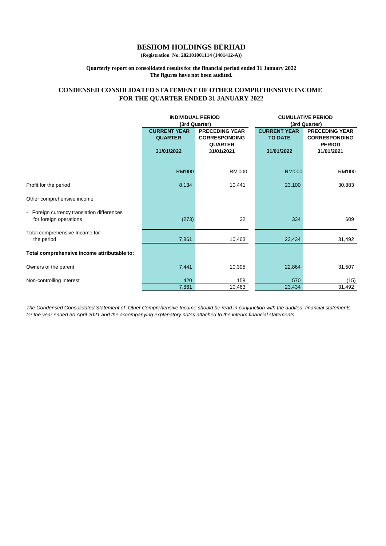**(Registration No. 202101001114 (1401412-A))**

#### **Quarterly report on consolidated results for the financial period ended 31 January 2022 The figures have not been audited.**

#### **FOR THE QUARTER ENDED 31 JANUARY 2022 CONDENSED CONSOLIDATED STATEMENT OF OTHER COMPREHENSIVE INCOME**

|                                                                    | <b>INDIVIDUAL PERIOD</b>                                                                                |                              | <b>CUMULATIVE PERIOD</b><br>(3rd Quarter) |                                               |  |
|--------------------------------------------------------------------|---------------------------------------------------------------------------------------------------------|------------------------------|-------------------------------------------|-----------------------------------------------|--|
|                                                                    | (3rd Quarter)<br><b>CURRENT YEAR</b><br><b>PRECEDING YEAR</b><br><b>CORRESPONDING</b><br><b>QUARTER</b> |                              | <b>CURRENT YEAR</b><br><b>TO DATE</b>     | <b>PRECEDING YEAR</b><br><b>CORRESPONDING</b> |  |
|                                                                    | 31/01/2022                                                                                              | <b>QUARTER</b><br>31/01/2021 | 31/01/2022                                | <b>PERIOD</b><br>31/01/2021                   |  |
|                                                                    | <b>RM'000</b>                                                                                           | <b>RM'000</b>                | <b>RM'000</b>                             | <b>RM'000</b>                                 |  |
| Profit for the period                                              | 8,134                                                                                                   | 10,441                       | 23,100                                    | 30,883                                        |  |
| Other comprehensive income                                         |                                                                                                         |                              |                                           |                                               |  |
| Foreign currency translation differences<br>for foreign operations | (273)                                                                                                   | 22                           | 334                                       | 609                                           |  |
| Total comprehensive Income for<br>the period                       | 7,861                                                                                                   | 10,463                       | 23,434                                    | 31,492                                        |  |
| Total comprehensive income attributable to:                        |                                                                                                         |                              |                                           |                                               |  |
| Owners of the parent                                               | 7,441                                                                                                   | 10,305                       | 22,864                                    | 31,507                                        |  |
| Non-controlling Interest                                           | 420                                                                                                     | 158                          | 570                                       | (15)                                          |  |
|                                                                    | 7,861                                                                                                   | 10,463                       | 23,434                                    | 31,492                                        |  |

*The Condensed Consolidated Statement of Other Comprehensive Income should be read in conjunction with the audited financial statements for the year ended 30 April 2021 and the accompanying explanatory notes attached to the interim financial statements.*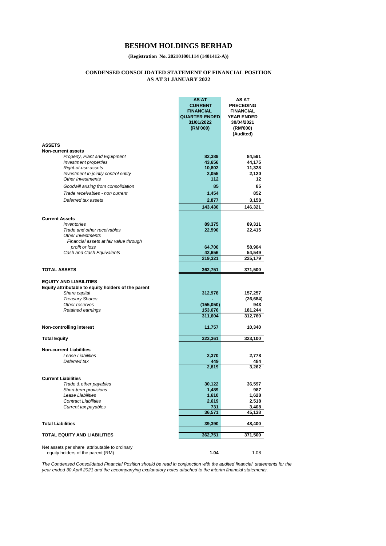**(Registration No. 202101001114 (1401412-A))**

#### **CONDENSED CONSOLIDATED STATEMENT OF FINANCIAL POSITION AS AT 31 JANUARY 2022**

|                                                             | AS AT<br><b>CURRENT</b><br><b>FINANCIAL</b><br><b>QUARTER ENDED</b><br>31/01/2022<br>(RM'000) | AS AT<br><b>PRECEDING</b><br><b>FINANCIAL</b><br><b>YEAR ENDED</b><br>30/04/2021<br>(RM'000)<br>(Audited) |
|-------------------------------------------------------------|-----------------------------------------------------------------------------------------------|-----------------------------------------------------------------------------------------------------------|
| <b>ASSETS</b>                                               |                                                                                               |                                                                                                           |
| <b>Non-current assets</b><br>Property, Plant and Equipment  | 82,389                                                                                        | 84,591                                                                                                    |
| <i>Investment properties</i>                                | 43,656                                                                                        | 44,175                                                                                                    |
| Right-of-use assets                                         | 10,802                                                                                        | 11,328                                                                                                    |
| Investment in jointly control entity                        | 2,055                                                                                         | 2,120                                                                                                     |
| Other Investments                                           | 112                                                                                           | 12                                                                                                        |
| Goodwill arising from consolidation                         | 85                                                                                            | 85                                                                                                        |
| Trade receivables - non current                             | 1,454                                                                                         | 852                                                                                                       |
| Deferred tax assets                                         | 2,877                                                                                         | 3,158                                                                                                     |
|                                                             | 143,430                                                                                       | 146,321                                                                                                   |
|                                                             |                                                                                               |                                                                                                           |
| <b>Current Assets</b>                                       |                                                                                               |                                                                                                           |
| Inventories                                                 | 89,375                                                                                        | 89,311                                                                                                    |
| Trade and other receivables                                 | 22,590                                                                                        | 22,415                                                                                                    |
| Other Investments<br>Financial assets at fair value through |                                                                                               |                                                                                                           |
| profit or loss                                              | 64,700                                                                                        | 58,904                                                                                                    |
| Cash and Cash Equivalents                                   | 42,656                                                                                        | 54,549                                                                                                    |
|                                                             | 219,321                                                                                       | 225,179                                                                                                   |
| <b>TOTAL ASSETS</b>                                         | 362,751                                                                                       | 371,500                                                                                                   |
|                                                             |                                                                                               |                                                                                                           |
| <b>EQUITY AND LIABILITIES</b>                               |                                                                                               |                                                                                                           |
| Equity attributable to equity holders of the parent         |                                                                                               |                                                                                                           |
| Share capital                                               | 312,978                                                                                       | 157,257                                                                                                   |
| <b>Treasury Shares</b><br>Other reserves                    | (155,050)                                                                                     | (26, 684)<br>943                                                                                          |
| Retained earnings                                           | 153,676                                                                                       | 181,244                                                                                                   |
|                                                             | 311,604                                                                                       | 312,760                                                                                                   |
|                                                             |                                                                                               |                                                                                                           |
| <b>Non-controlling interest</b>                             | 11,757                                                                                        | 10,340                                                                                                    |
| <b>Total Equity</b>                                         | 323,361                                                                                       | 323,100                                                                                                   |
|                                                             |                                                                                               |                                                                                                           |
| <b>Non-current Liabilities</b><br>Lease Liabilities         | 2,370                                                                                         | 2,778                                                                                                     |
| Deferred tax                                                | 449                                                                                           | 484                                                                                                       |
|                                                             | 2,819                                                                                         | 3,262                                                                                                     |
|                                                             |                                                                                               |                                                                                                           |
| <b>Current Liabilities</b>                                  |                                                                                               |                                                                                                           |
| Trade & other payables                                      | 30,122                                                                                        | 36,597                                                                                                    |
| <b>Short-term provisions</b><br>Lease Liabilities           | 1,489<br>1,610                                                                                | 987<br>1,628                                                                                              |
| <b>Contract Liabilities</b>                                 | 2,619                                                                                         | 2,518                                                                                                     |
| Current tax payables                                        | 731                                                                                           | 3,408                                                                                                     |
|                                                             | 36,571                                                                                        | 45,138                                                                                                    |
| <b>Total Liabilities</b>                                    | 39,390                                                                                        | 48,400                                                                                                    |
|                                                             |                                                                                               |                                                                                                           |
| <b>TOTAL EQUITY AND LIABILITIES</b>                         | 362,751                                                                                       | 371,500                                                                                                   |
| Net assets per share attributable to ordinary               |                                                                                               |                                                                                                           |
| equity holders of the parent (RM)                           | 1.04                                                                                          | 1.08                                                                                                      |

*The Condensed Consolidated Financial Position should be read in conjunction with the audited financial statements for the year ended 30 April 2021 and the accompanying explanatory notes attached to the interim financial statements.*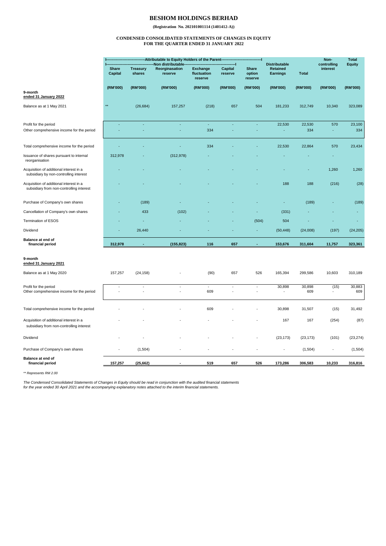**(Registration No. 202101001114 (1401412-A))**

#### **CONDENSED CONSOLIDATED STATEMENTS OF CHANGES IN EQUITY FOR THE QUARTER ENDED 31 JANUARY 2022**

|                                                                                     | -Attributable to Equity Holders of the Parent- |                           |                                                 | <b>Distributable</b>                      |                           |                                   | Non-<br>controlling            | <b>Total</b>  |                          |               |
|-------------------------------------------------------------------------------------|------------------------------------------------|---------------------------|-------------------------------------------------|-------------------------------------------|---------------------------|-----------------------------------|--------------------------------|---------------|--------------------------|---------------|
|                                                                                     | <b>Share</b><br><b>Capital</b>                 | <b>Treasury</b><br>shares | Non distributable-<br>Reorginasation<br>reserve | <b>Exchange</b><br>fluctuation<br>reserve | <b>Capital</b><br>reserve | <b>Share</b><br>option<br>reserve | <b>Retained</b><br>Earnings    | <b>Total</b>  |                          | <b>Equity</b> |
|                                                                                     | (RM'000)                                       | (RM'000)                  | (RM'000)                                        | (RM'000)                                  | (RM'000)                  | (RM'000)                          | (RM'000)                       | (RM'000)      | (RM'000)                 | (RM'000)      |
| 9-month<br>ended 31 January 2022                                                    |                                                |                           |                                                 |                                           |                           |                                   |                                |               |                          |               |
| Balance as at 1 May 2021                                                            | $*$                                            | (26, 684)                 | 157,257                                         | (218)                                     | 657                       | 504                               | 181,233                        | 312,749       | 10,340                   | 323,089       |
| Profit for the period<br>Other comprehensive income for the period                  | ÷,                                             | ä,                        | ä,                                              | ä,<br>334                                 | ä,                        | ä,                                | 22,530<br>ä,                   | 22,530<br>334 | 570<br>٠                 | 23,100<br>334 |
| Total comprehensive income for the period                                           |                                                |                           |                                                 | 334                                       |                           |                                   | 22,530                         | 22,864        | 570                      | 23,434        |
| Issuance of shares pursuant to internal<br>reorganisation                           | 312,978                                        |                           | (312, 978)                                      |                                           |                           |                                   |                                |               |                          |               |
| Acquisition of additional interest in a<br>subsidiary by non-controlling interest   |                                                |                           |                                                 |                                           |                           |                                   |                                |               | 1,260                    | 1,260         |
| Acquisition of additional interest in a<br>subsidiary from non-controlling interest |                                                |                           |                                                 |                                           |                           |                                   | 188                            | 188           | (216)                    | (28)          |
| Purchase of Company's own shares                                                    |                                                | (189)                     |                                                 |                                           |                           |                                   | ٠                              | (189)         |                          | (189)         |
| Cancellation of Company's own shares                                                |                                                | 433                       | (102)                                           |                                           |                           |                                   | (331)                          |               |                          |               |
| Termination of ESOS                                                                 |                                                |                           |                                                 |                                           |                           | (504)                             | 504                            |               |                          |               |
| Dividend                                                                            |                                                | 26,440                    |                                                 |                                           |                           |                                   | (50, 448)                      | (24,008)      | (197)                    | (24, 205)     |
| Balance at end of<br>financial period                                               | 312,978                                        |                           | (155, 823)                                      | 116                                       | 657                       |                                   | 153,676                        | 311,604       | 11,757                   | 323,361       |
| 9-month<br>ended 31 January 2021                                                    |                                                |                           |                                                 |                                           |                           |                                   |                                |               |                          |               |
| Balance as at 1 May 2020                                                            | 157,257                                        | (24, 158)                 |                                                 | (90)                                      | 657                       | 526                               | 165,394                        | 299,586       | 10,603                   | 310,189       |
| Profit for the period<br>Other comprehensive income for the period                  |                                                |                           |                                                 | 609                                       |                           |                                   | 30,898<br>$\ddot{\phantom{1}}$ | 30,898<br>609 | (15)                     | 30,883<br>609 |
| Total comprehensive income for the period                                           |                                                |                           |                                                 | 609                                       |                           |                                   | 30,898                         | 31,507        | (15)                     | 31,492        |
| Acquisition of additional interest in a<br>subsidiary from non-controlling interest |                                                |                           |                                                 |                                           |                           |                                   | 167                            | 167           | (254)                    | (87)          |
| Dividend                                                                            |                                                |                           |                                                 |                                           |                           |                                   | (23, 173)                      | (23, 173)     | (101)                    | (23, 274)     |
| Purchase of Company's own shares                                                    | ä,                                             | (1,504)                   |                                                 |                                           |                           |                                   | ÷,                             | (1,504)       | $\overline{\phantom{a}}$ | (1, 504)      |
| Balance at end of<br>financial period                                               | 157,257                                        | (25, 662)                 |                                                 | 519                                       | 657                       | 526                               | 173,286                        | 306,583       | 10,233                   | 316,816       |

*\*\* Represents RM 2.00*

The Condensed Consolidated Statements of Changes in Equity should be read in conjunction with the audited financial statements<br>for the year ended 30 April 2021 and the accompanying explanatory notes attached to the interim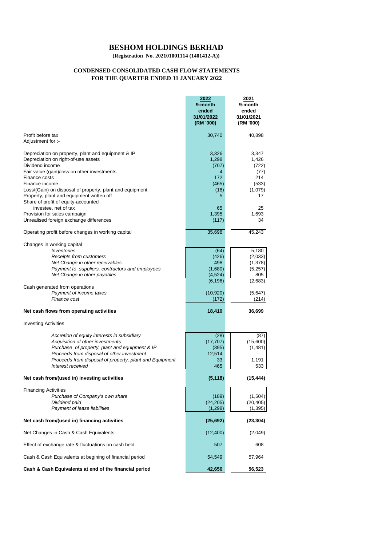**(Registration No. 202101001114 (1401412-A))**

ł.

#### **CONDENSED CONSOLIDATED CASH FLOW STATEMENTS FOR THE QUARTER ENDED 31 JANUARY 2022**

|                                                                                                       | 2022<br>9-month<br>ended<br>31/01/2022<br>(RM '000) | 2021<br>9-month<br>ended<br>31/01/2021<br>(RM '000) |
|-------------------------------------------------------------------------------------------------------|-----------------------------------------------------|-----------------------------------------------------|
| Profit before tax<br>Adjustment for :-                                                                | 30,740                                              | 40,898                                              |
|                                                                                                       |                                                     |                                                     |
| Depreciation on property, plant and equipment & IP                                                    | 3,326                                               | 3,347                                               |
| Depreciation on right-of-use assets<br>Dividend income                                                | 1,298<br>(707)                                      | 1,426<br>(722)                                      |
| Fair value (gain)/loss on other investments                                                           | 4                                                   | (77)                                                |
| Finance costs                                                                                         | 172                                                 | 214                                                 |
| Finance income                                                                                        | (465)                                               | (533)                                               |
| Loss/(Gain) on disposal of property, plant and equipment<br>Property, plant and equipment written off | (18)<br>5                                           | (1,079)<br>17                                       |
| Share of profit of equity-accounted                                                                   |                                                     |                                                     |
| investee, net of tax                                                                                  | 65                                                  | 25                                                  |
| Provision for sales campaign                                                                          | 1,395                                               | 1,693                                               |
| Unrealised foreign exchange differences                                                               | (117)                                               | 34                                                  |
| Operating profit before changes in working capital                                                    | 35,698                                              | 45,243                                              |
| Changes in working capital                                                                            |                                                     |                                                     |
| <i><b>Inventories</b></i>                                                                             | (64)                                                | 5,180                                               |
| Receipts from customers                                                                               | (426)                                               | (2,033)                                             |
| Net Change in other receivables<br>Payment to suppliers, contractors and employees                    | 498<br>(1,680)                                      | (1,378)<br>(5,257)                                  |
| Net Change in other payables                                                                          | (4, 524)                                            | 805                                                 |
|                                                                                                       | (6, 196)                                            | (2,683)                                             |
| Cash generated from operations<br>Payment of income taxes                                             | (10, 920)                                           |                                                     |
| Finance cost                                                                                          | (172)                                               | (5,647)<br>(214)                                    |
| Net cash flows from operating activities                                                              | 18,410                                              | 36,699                                              |
| <b>Investing Activities</b>                                                                           |                                                     |                                                     |
|                                                                                                       |                                                     |                                                     |
| Accretion of equity interests in subsidiary<br>Acquisition of other investments                       | (28)<br>(17, 707)                                   | (87)<br>(15,600)                                    |
| Purchase of property, plant and equipment & IP                                                        | (395)                                               | (1,481)                                             |
| Proceeds from disposal of other investment                                                            | 12,514                                              | ۰                                                   |
| Proceeds from disposal of property, plant and Equipment                                               | 33                                                  | 1,191                                               |
| Interest received                                                                                     | 465                                                 | 533                                                 |
| Net cash from/(used in) investing activities                                                          | (5, 118)                                            | (15, 444)                                           |
| <b>Financing Activities</b>                                                                           |                                                     |                                                     |
| Purchase of Company's own share                                                                       | (189)                                               | (1,504)                                             |
| Dividend paid<br>Payment of lease liabilities                                                         | (24, 205)<br>(1, 298)                               | (20, 405)<br>(1, 395)                               |
| Net cash from/(used in) financing activities                                                          | (25, 692)                                           | (23, 304)                                           |
|                                                                                                       |                                                     |                                                     |
| Net Changes in Cash & Cash Equivalents                                                                | (12, 400)                                           | (2,049)                                             |
| Effect of exchange rate & fluctuations on cash held                                                   | 507                                                 | 608                                                 |
| Cash & Cash Equivalents at begining of financial period                                               | 54,549                                              | 57,964                                              |
| Cash & Cash Equivalents at end of the financial period                                                | 42,656                                              | 56,523                                              |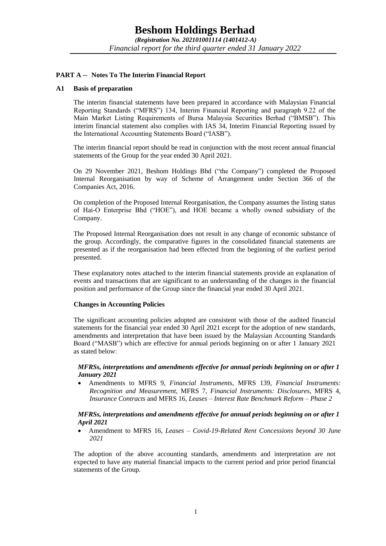#### **PART A -- Notes To The Interim Financial Report**

#### **A1 Basis of preparation**

The interim financial statements have been prepared in accordance with Malaysian Financial Reporting Standards ("MFRS") 134, Interim Financial Reporting and paragraph 9.22 of the Main Market Listing Requirements of Bursa Malaysia Securities Berhad ("BMSB"). This interim financial statement also complies with IAS 34, Interim Financial Reporting issued by the International Accounting Statements Board ("IASB").

The interim financial report should be read in conjunction with the most recent annual financial statements of the Group for the year ended 30 April 2021.

On 29 November 2021, Beshom Holdings Bhd ("the Company") completed the Proposed Internal Reorganisation by way of Scheme of Arrangement under Section 366 of the Companies Act, 2016.

On completion of the Proposed Internal Reorganisation, the Company assumes the listing status of Hai-O Enterprise Bhd ("HOE"), and HOE became a wholly owned subsidiary of the Company.

The Proposed Internal Reorganisation does not result in any change of economic substance of the group. Accordingly, the comparative figures in the consolidated financial statements are presented as if the reorganisation had been effected from the beginning of the earliest period presented.

These explanatory notes attached to the interim financial statements provide an explanation of events and transactions that are significant to an understanding of the changes in the financial position and performance of the Group since the financial year ended 30 April 2021.

#### **Changes in Accounting Policies**

The significant accounting policies adopted are consistent with those of the audited financial statements for the financial year ended 30 April 2021 except for the adoption of new standards, amendments and interpretation that have been issued by the Malaysian Accounting Standards Board ("MASB") which are effective for annual periods beginning on or after 1 January 2021 as stated below:

#### *MFRSs, interpretations and amendments effective for annual periods beginning on or after 1 January 2021*

• Amendments to MFRS 9, *Financial Instruments*, MFRS 139, *Financial Instruments: Recognition and Measurement,* MFRS 7, *Financial Instruments: Disclosures,* MFRS 4*, Insurance Contracts* and MFRS 16*, Leases – Interest Rate Benchmark Reform – Phase 2*

#### *MFRSs, interpretations and amendments effective for annual periods beginning on or after 1 April 2021*

• Amendment to MFRS 16*, Leases – Covid-19-Related Rent Concessions beyond 30 June 2021*

The adoption of the above accounting standards, amendments and interpretation are not expected to have any material financial impacts to the current period and prior period financial statements of the Group.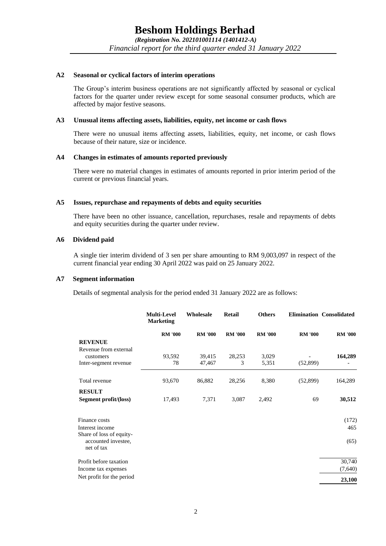#### **A2 Seasonal or cyclical factors of interim operations**

The Group's interim business operations are not significantly affected by seasonal or cyclical factors for the quarter under review except for some seasonal consumer products, which are affected by major festive seasons.

#### **A3 Unusual items affecting assets, liabilities, equity, net income or cash flows**

There were no unusual items affecting assets, liabilities, equity, net income, or cash flows because of their nature, size or incidence.

#### **A4 Changes in estimates of amounts reported previously**

There were no material changes in estimates of amounts reported in prior interim period of the current or previous financial years.

#### **A5 Issues, repurchase and repayments of debts and equity securities**

There have been no other issuance, cancellation, repurchases, resale and repayments of debts and equity securities during the quarter under review.

#### **A6 Dividend paid**

A single tier interim dividend of 3 sen per share amounting to RM 9,003,097 in respect of the current financial year ending 30 April 2022 was paid on 25 January 2022.

#### **A7 Segment information**

Details of segmental analysis for the period ended 31 January 2022 are as follows:

|                                                               | <b>Multi-Level</b><br><b>Marketing</b> | Wholesale      | Retail         | <b>Others</b>  |                | <b>Elimination Consolidated</b> |
|---------------------------------------------------------------|----------------------------------------|----------------|----------------|----------------|----------------|---------------------------------|
|                                                               | <b>RM '000</b>                         | <b>RM '000</b> | <b>RM '000</b> | <b>RM '000</b> | <b>RM '000</b> | <b>RM '000</b>                  |
| <b>REVENUE</b>                                                |                                        |                |                |                |                |                                 |
| Revenue from external                                         |                                        |                |                |                |                |                                 |
| customers                                                     | 93,592                                 | 39,415         | 28,253         | 3,029          |                | 164,289                         |
| Inter-segment revenue                                         | 78                                     | 47,467         | 3              | 5,351          | (52,899)       |                                 |
| Total revenue                                                 | 93,670                                 | 86,882         | 28,256         | 8,380          | (52,899)       | 164,289                         |
| <b>RESULT</b>                                                 |                                        |                |                |                |                |                                 |
| Segment profit/(loss)                                         | 17,493                                 | 7,371          | 3,087          | 2,492          | 69             | 30,512                          |
| Finance costs                                                 |                                        |                |                |                |                | (172)                           |
| Interest income                                               |                                        |                |                |                |                | 465                             |
| Share of loss of equity-<br>accounted investee,<br>net of tax |                                        |                |                |                |                | (65)                            |
| Profit before taxation                                        |                                        |                |                |                |                | 30,740                          |
| Income tax expenses                                           |                                        |                |                |                |                | (7,640)                         |
| Net profit for the period                                     |                                        |                |                |                |                | 23,100                          |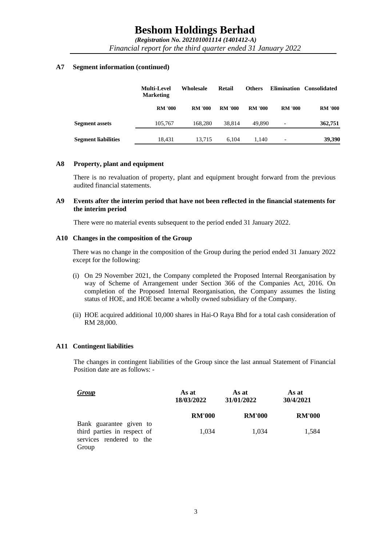*(Registration No. 202101001114 (1401412-A) Financial report for the third quarter ended 31 January 2022*

#### **A7 Segment information (continued)**

|                            | <b>Multi-Level</b><br><b>Marketing</b> | Wholesale      | Retail         | <b>Others</b>  |                | Elimination Consolidated |
|----------------------------|----------------------------------------|----------------|----------------|----------------|----------------|--------------------------|
|                            | <b>RM '000</b>                         | <b>RM '000</b> | <b>RM '000</b> | <b>RM '000</b> | <b>RM '000</b> | <b>RM '000</b>           |
| <b>Segment assets</b>      | 105.767                                | 168,280        | 38.814         | 49,890         | -              | 362,751                  |
| <b>Segment liabilities</b> | 18.431                                 | 13.715         | 6.104          | 1.140          | -              | 39,390                   |

#### **A8 Property, plant and equipment**

There is no revaluation of property, plant and equipment brought forward from the previous audited financial statements.

#### **A9 Events after the interim period that have not been reflected in the financial statements for the interim period**

There were no material events subsequent to the period ended 31 January 2022.

#### **A10 Changes in the composition of the Group**

There was no change in the composition of the Group during the period ended 31 January 2022 except for the following:

- (i) On 29 November 2021, the Company completed the Proposed Internal Reorganisation by way of Scheme of Arrangement under Section 366 of the Companies Act, 2016. On completion of the Proposed Internal Reorganisation, the Company assumes the listing status of HOE, and HOE became a wholly owned subsidiary of the Company.
- (ii) HOE acquired additional 10,000 shares in Hai-O Raya Bhd for a total cash consideration of RM 28,000.

#### **A11 Contingent liabilities**

The changes in contingent liabilities of the Group since the last annual Statement of Financial Position date are as follows: -

| <b>Group</b>                                                                       | As at<br>18/03/2022 | As at<br>31/01/2022 | As at<br>30/4/2021 |  |
|------------------------------------------------------------------------------------|---------------------|---------------------|--------------------|--|
|                                                                                    | <b>RM'000</b>       | <b>RM'000</b>       | <b>RM'000</b>      |  |
| Bank guarantee given to<br>third parties in respect of<br>services rendered to the | 1,034               | 1,034               | 1,584              |  |
| Group                                                                              |                     |                     |                    |  |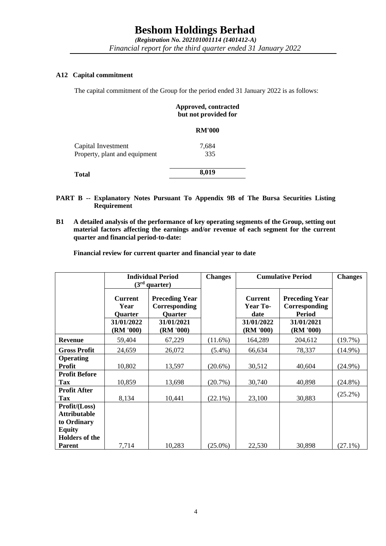*Financial report for the third quarter ended 31 January 2022*

## **A12 Capital commitment**

The capital commitment of the Group for the period ended 31 January 2022 is as follows:

#### **Approved, contracted but not provided for**

|                               | <b>RM'000</b> |  |
|-------------------------------|---------------|--|
| Capital Investment            | 7,684         |  |
| Property, plant and equipment | 335           |  |
| Total                         | 8,019         |  |

- **PART B -- Explanatory Notes Pursuant To Appendix 9B of The Bursa Securities Listing Requirement**
- **B1 A detailed analysis of the performance of key operating segments of the Group, setting out material factors affecting the earnings and/or revenue of each segment for the current quarter and financial period-to-date:**

**Financial review for current quarter and financial year to date** 

|                                                                      |                                                        | <b>Individual Period</b><br>(3 <sup>rd</sup> quarter)                  | <b>Changes</b> | <b>Cumulative Period</b>                         |                                                                       | <b>Changes</b> |
|----------------------------------------------------------------------|--------------------------------------------------------|------------------------------------------------------------------------|----------------|--------------------------------------------------|-----------------------------------------------------------------------|----------------|
|                                                                      | <b>Current</b><br>Year<br><b>Quarter</b><br>31/01/2022 | <b>Preceding Year</b><br>Corresponding<br><b>Quarter</b><br>31/01/2021 |                | <b>Current</b><br>Year To-<br>date<br>31/01/2022 | <b>Preceding Year</b><br>Corresponding<br><b>Period</b><br>31/01/2021 |                |
|                                                                      | (RM '000)                                              | (RM '000)                                                              |                | (RM '000)                                        | (RM'000)                                                              |                |
| <b>Revenue</b>                                                       | 59,404                                                 | 67,229                                                                 | $(11.6\%)$     | 164,289                                          | 204,612                                                               | (19.7%)        |
| <b>Gross Profit</b>                                                  | 24,659                                                 | 26,072                                                                 | $(5.4\%)$      | 66,634                                           | 78,337                                                                | $(14.9\%)$     |
| <b>Operating</b><br><b>Profit</b>                                    | 10,802                                                 | 13,597                                                                 | $(20.6\%)$     | 30,512                                           | 40,604                                                                | $(24.9\%)$     |
| <b>Profit Before</b><br>Tax                                          | 10,859                                                 | 13,698                                                                 | $(20.7\%)$     | 30,740                                           | 40,898                                                                | $(24.8\%)$     |
| <b>Profit After</b><br><b>Tax</b>                                    | 8,134                                                  | 10,441                                                                 | $(22.1\%)$     | 23,100                                           | 30,883                                                                | $(25.2\%)$     |
| Profit/(Loss)<br><b>Attributable</b><br>to Ordinary<br><b>Equity</b> |                                                        |                                                                        |                |                                                  |                                                                       |                |
| <b>Holders of the</b><br><b>Parent</b>                               | 7,714                                                  | 10,283                                                                 | $(25.0\%)$     | 22,530                                           | 30,898                                                                | $(27.1\%)$     |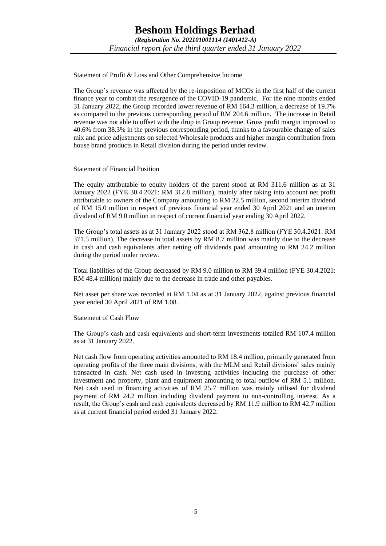#### Statement of Profit & Loss and Other Comprehensive Income

The Group's revenue was affected by the re-imposition of MCOs in the first half of the current finance year to combat the resurgence of the COVID-19 pandemic. For the nine months ended 31 January 2022, the Group recorded lower revenue of RM 164.3 million, a decrease of 19.7% as compared to the previous corresponding period of RM 204.6 million. The increase in Retail revenue was not able to offset with the drop in Group revenue. Gross profit margin improved to 40.6% from 38.3% in the previous corresponding period, thanks to a favourable change of sales mix and price adjustments on selected Wholesale products and higher margin contribution from house brand products in Retail division during the period under review.

#### Statement of Financial Position

The equity attributable to equity holders of the parent stood at RM 311.6 million as at 31 January 2022 (FYE 30.4.2021: RM 312.8 million), mainly after taking into account net profit attributable to owners of the Company amounting to RM 22.5 million, second interim dividend of RM 15.0 million in respect of previous financial year ended 30 April 2021 and an interim dividend of RM 9.0 million in respect of current financial year ending 30 April 2022.

The Group's total assets as at 31 January 2022 stood at RM 362.8 million (FYE 30.4.2021: RM 371.5 million). The decrease in total assets by RM 8.7 million was mainly due to the decrease in cash and cash equivalents after netting off dividends paid amounting to RM 24.2 million during the period under review.

Total liabilities of the Group decreased by RM 9.0 million to RM 39.4 million (FYE 30.4.2021: RM 48.4 million) mainly due to the decrease in trade and other payables.

Net asset per share was recorded at RM 1.04 as at 31 January 2022, against previous financial year ended 30 April 2021 of RM 1.08.

#### Statement of Cash Flow

The Group's cash and cash equivalents and short-term investments totalled RM 107.4 million as at 31 January 2022.

Net cash flow from operating activities amounted to RM 18.4 million, primarily generated from operating profits of the three main divisions, with the MLM and Retail divisions' sales mainly transacted in cash. Net cash used in investing activities including the purchase of other investment and property, plant and equipment amounting to total outflow of RM 5.1 million. Net cash used in financing activities of RM 25.7 million was mainly utilised for dividend payment of RM 24.2 million including dividend payment to non-controlling interest. As a result, the Group's cash and cash equivalents decreased by RM 11.9 million to RM 42.7 million as at current financial period ended 31 January 2022.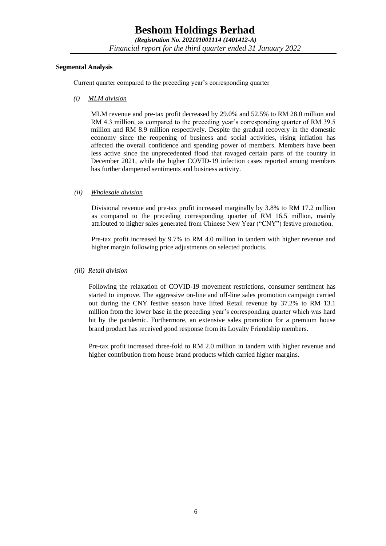### **Beshom Holdings Berhad**

*(Registration No. 202101001114 (1401412-A) Financial report for the third quarter ended 31 January 2022*

#### **Segmental Analysis**

Current quarter compared to the preceding year's corresponding quarter

*(i) MLM division* 

MLM revenue and pre-tax profit decreased by 29.0% and 52.5% to RM 28.0 million and RM 4.3 million, as compared to the preceding year's corresponding quarter of RM 39.5 million and RM 8.9 million respectively. Despite the gradual recovery in the domestic economy since the reopening of business and social activities, rising inflation has affected the overall confidence and spending power of members. Members have been less active since the unprecedented flood that ravaged certain parts of the country in December 2021, while the higher COVID-19 infection cases reported among members has further dampened sentiments and business activity.

#### *(ii) Wholesale division*

Divisional revenue and pre-tax profit increased marginally by 3.8% to RM 17.2 million as compared to the preceding corresponding quarter of RM 16.5 million, mainly attributed to higher sales generated from Chinese New Year ("CNY") festive promotion.

Pre-tax profit increased by 9.7% to RM 4.0 million in tandem with higher revenue and higher margin following price adjustments on selected products.

#### *(iii) Retail division*

Following the relaxation of COVID-19 movement restrictions, consumer sentiment has started to improve. The aggressive on-line and off-line sales promotion campaign carried out during the CNY festive season have lifted Retail revenue by 37.2% to RM 13.1 million from the lower base in the preceding year's corresponding quarter which was hard hit by the pandemic. Furthermore, an extensive sales promotion for a premium house brand product has received good response from its Loyalty Friendship members.

Pre-tax profit increased three-fold to RM 2.0 million in tandem with higher revenue and higher contribution from house brand products which carried higher margins.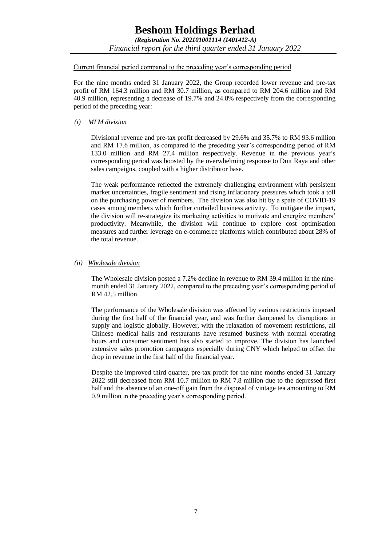#### Current financial period compared to the preceding year's corresponding period

For the nine months ended 31 January 2022, the Group recorded lower revenue and pre-tax profit of RM 164.3 million and RM 30.7 million, as compared to RM 204.6 million and RM 40.9 million, representing a decrease of 19.7% and 24.8% respectively from the corresponding period of the preceding year:

*(i) MLM division* 

Divisional revenue and pre-tax profit decreased by 29.6% and 35.7% to RM 93.6 million and RM 17.6 million, as compared to the preceding year's corresponding period of RM 133.0 million and RM 27.4 million respectively. Revenue in the previous year's corresponding period was boosted by the overwhelming response to Duit Raya and other sales campaigns, coupled with a higher distributor base.

The weak performance reflected the extremely challenging environment with persistent market uncertainties, fragile sentiment and rising inflationary pressures which took a toll on the purchasing power of members. The division was also hit by a spate of COVID-19 cases among members which further curtailed business activity. To mitigate the impact, the division will re-strategize its marketing activities to motivate and energize members' productivity. Meanwhile, the division will continue to explore cost optimisation measures and further leverage on e-commerce platforms which contributed about 28% of the total revenue.

#### *(ii) Wholesale division*

The Wholesale division posted a 7.2% decline in revenue to RM 39.4 million in the ninemonth ended 31 January 2022, compared to the preceding year's corresponding period of RM 42.5 million.

The performance of the Wholesale division was affected by various restrictions imposed during the first half of the financial year, and was further dampened by disruptions in supply and logistic globally. However, with the relaxation of movement restrictions, all Chinese medical halls and restaurants have resumed business with normal operating hours and consumer sentiment has also started to improve. The division has launched extensive sales promotion campaigns especially during CNY which helped to offset the drop in revenue in the first half of the financial year.

Despite the improved third quarter, pre-tax profit for the nine months ended 31 January 2022 still decreased from RM 10.7 million to RM 7.8 million due to the depressed first half and the absence of an one-off gain from the disposal of vintage tea amounting to RM 0.9 million in the preceding year's corresponding period.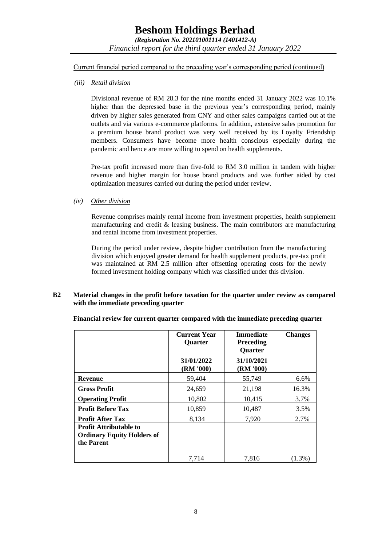Current financial period compared to the preceding year's corresponding period (continued)

*(iii) Retail division*

Divisional revenue of RM 28.3 for the nine months ended 31 January 2022 was 10.1% higher than the depressed base in the previous year's corresponding period, mainly driven by higher sales generated from CNY and other sales campaigns carried out at the outlets and via various e-commerce platforms. In addition, extensive sales promotion for a premium house brand product was very well received by its Loyalty Friendship members. Consumers have become more health conscious especially during the pandemic and hence are more willing to spend on health supplements.

Pre-tax profit increased more than five-fold to RM 3.0 million in tandem with higher revenue and higher margin for house brand products and was further aided by cost optimization measures carried out during the period under review.

#### *(iv) Other division*

Revenue comprises mainly rental income from investment properties, health supplement manufacturing and credit  $\&$  leasing business. The main contributors are manufacturing and rental income from investment properties.

During the period under review, despite higher contribution from the manufacturing division which enjoyed greater demand for health supplement products, pre-tax profit was maintained at RM 2.5 million after offsetting operating costs for the newly formed investment holding company which was classified under this division.

#### **B2 Material changes in the profit before taxation for the quarter under review as compared with the immediate preceding quarter**

**Financial review for current quarter compared with the immediate preceding quarter** 

|                                                                                  | <b>Current Year</b><br>Quarter | <b>Immediate</b><br><b>Preceding</b><br><b>Quarter</b> | <b>Changes</b> |
|----------------------------------------------------------------------------------|--------------------------------|--------------------------------------------------------|----------------|
|                                                                                  | 31/01/2022<br>(RM'000)         | 31/10/2021<br>(RM '000)                                |                |
| <b>Revenue</b>                                                                   | 59,404                         | 55,749                                                 | 6.6%           |
| <b>Gross Profit</b>                                                              | 24,659                         | 21,198                                                 | 16.3%          |
| <b>Operating Profit</b>                                                          | 10,802                         | 10,415                                                 | 3.7%           |
| <b>Profit Before Tax</b>                                                         | 10,859                         | 10,487                                                 | 3.5%           |
| <b>Profit After Tax</b>                                                          | 8,134                          | 7,920                                                  | 2.7%           |
| <b>Profit Attributable to</b><br><b>Ordinary Equity Holders of</b><br>the Parent |                                |                                                        |                |
|                                                                                  | 7,714                          | 7,816                                                  | $(1.3\%)$      |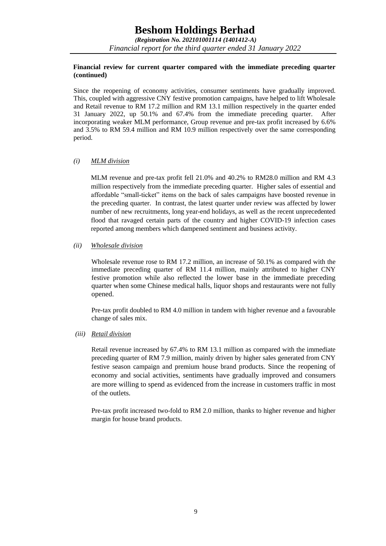#### **Financial review for current quarter compared with the immediate preceding quarter (continued)**

Since the reopening of economy activities, consumer sentiments have gradually improved. This, coupled with aggressive CNY festive promotion campaigns, have helped to lift Wholesale and Retail revenue to RM 17.2 million and RM 13.1 million respectively in the quarter ended 31 January 2022, up 50.1% and 67.4% from the immediate preceding quarter. After incorporating weaker MLM performance, Group revenue and pre-tax profit increased by 6.6% and 3.5% to RM 59.4 million and RM 10.9 million respectively over the same corresponding period.

#### *(i) MLM division*

MLM revenue and pre-tax profit fell 21.0% and 40.2% to RM28.0 million and RM 4.3 million respectively from the immediate preceding quarter. Higher sales of essential and affordable "small-ticket" items on the back of sales campaigns have boosted revenue in the preceding quarter. In contrast, the latest quarter under review was affected by lower number of new recruitments, long year-end holidays, as well as the recent unprecedented flood that ravaged certain parts of the country and higher COVID-19 infection cases reported among members which dampened sentiment and business activity.

#### *(ii) Wholesale division*

Wholesale revenue rose to RM 17.2 million, an increase of 50.1% as compared with the immediate preceding quarter of RM 11.4 million, mainly attributed to higher CNY festive promotion while also reflected the lower base in the immediate preceding quarter when some Chinese medical halls, liquor shops and restaurants were not fully opened.

Pre-tax profit doubled to RM 4.0 million in tandem with higher revenue and a favourable change of sales mix.

#### *(iii) Retail division*

Retail revenue increased by 67.4% to RM 13.1 million as compared with the immediate preceding quarter of RM 7.9 million, mainly driven by higher sales generated from CNY festive season campaign and premium house brand products. Since the reopening of economy and social activities, sentiments have gradually improved and consumers are more willing to spend as evidenced from the increase in customers traffic in most of the outlets.

Pre-tax profit increased two-fold to RM 2.0 million, thanks to higher revenue and higher margin for house brand products.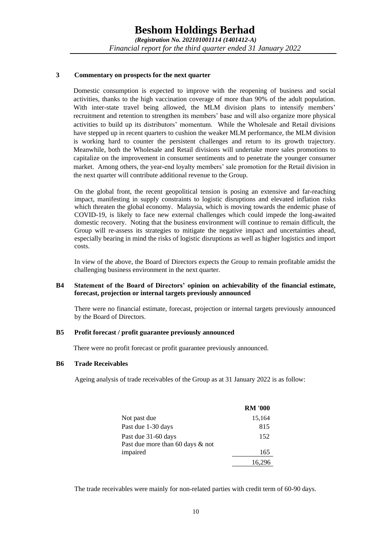#### **3 Commentary on prospects for the next quarter**

Domestic consumption is expected to improve with the reopening of business and social activities, thanks to the high vaccination coverage of more than 90% of the adult population. With inter-state travel being allowed, the MLM division plans to intensify members' recruitment and retention to strengthen its members' base and will also organize more physical activities to build up its distributors' momentum. While the Wholesale and Retail divisions have stepped up in recent quarters to cushion the weaker MLM performance, the MLM division is working hard to counter the persistent challenges and return to its growth trajectory. Meanwhile, both the Wholesale and Retail divisions will undertake more sales promotions to capitalize on the improvement in consumer sentiments and to penetrate the younger consumer market. Among others, the year-end loyalty members' sale promotion for the Retail division in the next quarter will contribute additional revenue to the Group.

On the global front, the recent geopolitical tension is posing an extensive and far-reaching impact, manifesting in supply constraints to logistic disruptions and elevated inflation risks which threaten the global economy. Malaysia, which is moving towards the endemic phase of COVID-19, is likely to face new external challenges which could impede the long-awaited domestic recovery. Noting that the business environment will continue to remain difficult, the Group will re-assess its strategies to mitigate the negative impact and uncertainties ahead, especially bearing in mind the risks of logistic disruptions as well as higher logistics and import costs.

In view of the above, the Board of Directors expects the Group to remain profitable amidst the challenging business environment in the next quarter.

#### **B4 Statement of the Board of Directors' opinion on achievability of the financial estimate, forecast, projection or internal targets previously announced**

There were no financial estimate, forecast, projection or internal targets previously announced by the Board of Directors.

#### **B5 Profit forecast / profit guarantee previously announced**

There were no profit forecast or profit guarantee previously announced.

#### **B6 Trade Receivables**

Ageing analysis of trade receivables of the Group as at 31 January 2022 is as follow:

|                                  | <b>RM '000</b> |
|----------------------------------|----------------|
| Not past due                     | 15,164         |
| Past due 1-30 days               | 815            |
| Past due 31-60 days              | 152            |
| Past due more than 60 days & not |                |
| impaired                         | 165            |
|                                  | 16.296         |

The trade receivables were mainly for non-related parties with credit term of 60-90 days.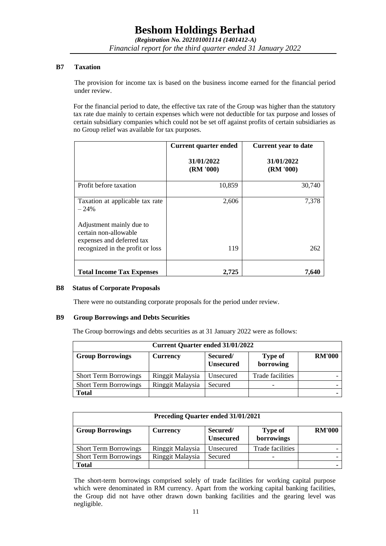#### **B7 Taxation**

The provision for income tax is based on the business income earned for the financial period under review.

For the financial period to date, the effective tax rate of the Group was higher than the statutory tax rate due mainly to certain expenses which were not deductible for tax purpose and losses of certain subsidiary companies which could not be set off against profits of certain subsidiaries as no Group relief was available for tax purposes.

|                                                                                | <b>Current quarter ended</b> | <b>Current year to date</b> |  |
|--------------------------------------------------------------------------------|------------------------------|-----------------------------|--|
|                                                                                | 31/01/2022<br>(RM'000)       | 31/01/2022<br>(RM '000)     |  |
| Profit before taxation                                                         | 10,859                       | 30,740                      |  |
| Taxation at applicable tax rate<br>$-24%$                                      | 2,606                        | 7,378                       |  |
| Adjustment mainly due to<br>certain non-allowable<br>expenses and deferred tax |                              |                             |  |
| recognized in the profit or loss                                               | 119                          | 262                         |  |
| <b>Total Income Tax Expenses</b>                                               | 2,725                        | 7.640                       |  |

#### **B8 Status of Corporate Proposals**

There were no outstanding corporate proposals for the period under review.

#### **B9 Group Borrowings and Debts Securities**

The Group borrowings and debts securities as at 31 January 2022 were as follows:

| <b>Current Quarter ended 31/01/2022</b> |                  |                              |                             |               |  |
|-----------------------------------------|------------------|------------------------------|-----------------------------|---------------|--|
| <b>Group Borrowings</b>                 | Currency         | Secured/<br><b>Unsecured</b> | <b>Type of</b><br>borrowing | <b>RM'000</b> |  |
| <b>Short Term Borrowings</b>            | Ringgit Malaysia | Unsecured                    | Trade facilities            |               |  |
| <b>Short Term Borrowings</b>            | Ringgit Malaysia | Secured                      |                             |               |  |
| <b>Total</b>                            |                  |                              |                             |               |  |

| <b>Preceding Quarter ended 31/01/2021</b> |                  |           |                              |               |  |
|-------------------------------------------|------------------|-----------|------------------------------|---------------|--|
| <b>Group Borrowings</b>                   | <b>Currency</b>  |           | <b>Type of</b><br>borrowings | <b>RM'000</b> |  |
| <b>Short Term Borrowings</b>              | Ringgit Malaysia | Unsecured | Trade facilities             |               |  |
| <b>Short Term Borrowings</b>              | Ringgit Malaysia | Secured   |                              |               |  |
| <b>Total</b>                              |                  |           |                              |               |  |

The short-term borrowings comprised solely of trade facilities for working capital purpose which were denominated in RM currency. Apart from the working capital banking facilities, the Group did not have other drawn down banking facilities and the gearing level was negligible.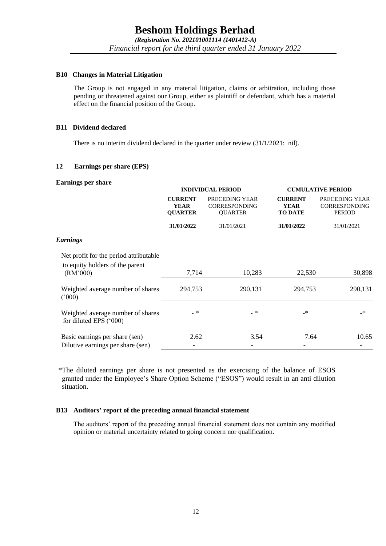#### **B10 Changes in Material Litigation**

The Group is not engaged in any material litigation, claims or arbitration, including those pending or threatened against our Group, either as plaintiff or defendant, which has a material effect on the financial position of the Group.

#### **B11 Dividend declared**

There is no interim dividend declared in the quarter under review (31/1/2021: nil).

#### **12 Earnings per share (EPS)**

#### **Earnings per share**

| <b>Durining</b> per bliume                                  | <b>INDIVIDUAL PERIOD</b>                        |                                                          | <b>CUMULATIVE PERIOD</b>                        |                                                  |  |
|-------------------------------------------------------------|-------------------------------------------------|----------------------------------------------------------|-------------------------------------------------|--------------------------------------------------|--|
|                                                             | <b>CURRENT</b><br><b>YEAR</b><br><b>QUARTER</b> | PRECEDING YEAR<br><b>CORRESPONDING</b><br><b>QUARTER</b> | <b>CURRENT</b><br><b>YEAR</b><br><b>TO DATE</b> | PRECEDING YEAR<br><b>CORRESPONDING</b><br>PERIOD |  |
|                                                             | 31/01/2022                                      | 31/01/2021                                               | 31/01/2022                                      | 31/01/2021                                       |  |
| <b>Earnings</b>                                             |                                                 |                                                          |                                                 |                                                  |  |
| Net profit for the period attributable                      |                                                 |                                                          |                                                 |                                                  |  |
| to equity holders of the parent<br>(RM'000)                 | 7,714                                           | 10,283                                                   | 22,530                                          | 30,898                                           |  |
| Weighted average number of shares<br>(000)                  | 294,753                                         | 290,131                                                  | 294,753                                         | 290,131                                          |  |
| Weighted average number of shares<br>for diluted EPS ('000) | $-$ *                                           | $\overline{\phantom{a}}$                                 | $\cdot$                                         | $\mathbf{\ast}$                                  |  |
| Basic earnings per share (sen)                              | 2.62                                            | 3.54                                                     | 7.64                                            | 10.65                                            |  |
| Dilutive earnings per share (sen)                           | $\overline{\phantom{a}}$                        | -                                                        | -                                               | -                                                |  |
|                                                             |                                                 |                                                          |                                                 |                                                  |  |

 \*The diluted earnings per share is not presented as the exercising of the balance of ESOS granted under the Employee's Share Option Scheme ("ESOS") would result in an anti dilution situation.

#### **B13 Auditors' report of the preceding annual financial statement**

The auditors' report of the preceding annual financial statement does not contain any modified opinion or material uncertainty related to going concern nor qualification.